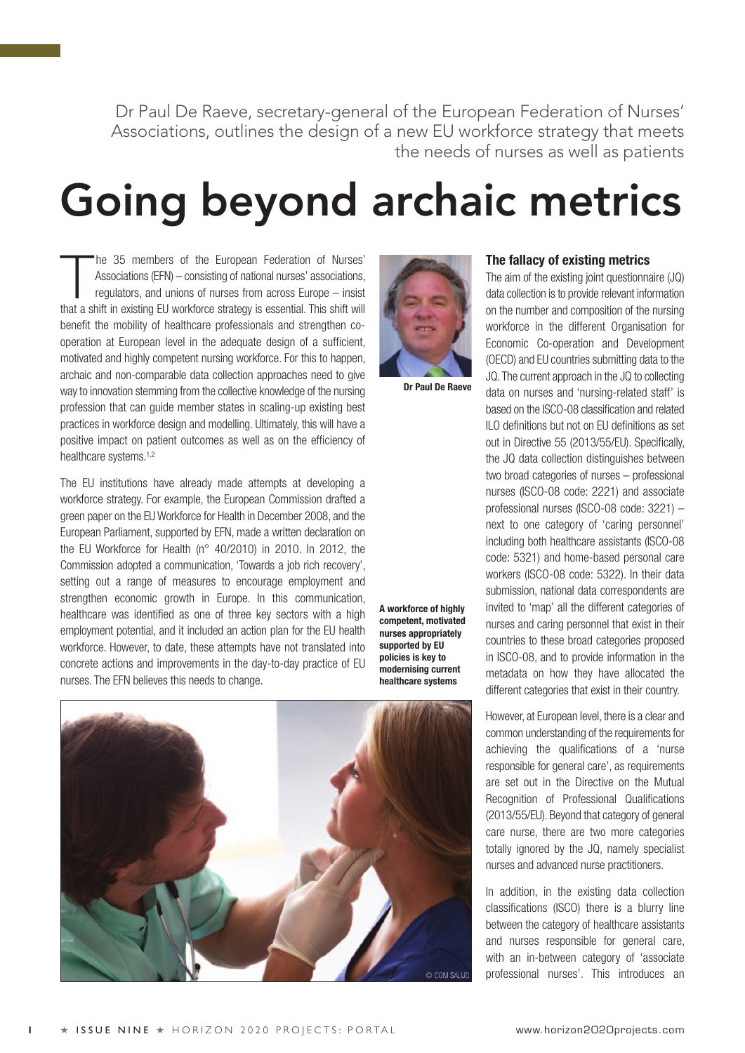Dr Paul De Raeve, secretary-general of the European Federation of Nurses' Associations, outlines the design of a new EU workforce strategy that meets the needs of nurses as well as patients

# **Going beyond archaic metrics**

The 35 members of the European Federation of Nurses'<br>Associations (EFN) – consisting of national nurses' associations,<br>regulators, and unions of nurses from across Europe – insist Associations (EFN) – consisting of national nurses' associations, that a shift in existing EU workforce strategy is essential. This shift will benefit the mobility of healthcare professionals and strengthen cooperation at European level in the adequate design of a sufficient, motivated and highly competent nursing workforce. For this to happen, archaic and non-comparable data collection approaches need to give way to innovation stemming from the collective knowledge of the nursing profession that can guide member states in scaling-up existing best practices in workforce design and modelling. Ultimately, this will have a positive impact on patient outcomes as well as on the efficiency of healthcare systems.<sup>1,2</sup>

The EU institutions have already made attempts at developing a workforce strategy. For example, the European Commission drafted a green paper on the EU Workforce for Health in December 2008, and the European Parliament, supported by EFN, made a written declaration on the EU Workforce for Health (n° 40/2010) in 2010. In 2012, the Commission adopted a communication, 'Towards a job rich recovery', setting out a range of measures to encourage employment and strengthen economic growth in Europe. In this communication, healthcare was identified as one of three key sectors with a high employment potential, and it included an action plan for the EU health workforce. However, to date, these attempts have not translated into concrete actions and improvements in the day-to-day practice of EU nurses. The EFN believes this needs to change.

**A workforce of highly competent, motivated nurses appropriately supported by EU policies is key to modernising current healthcare systems**

**Dr Paul De Raeve**



## **The fallacy of existing metrics**

The aim of the existing joint questionnaire (JQ) data collection is to provide relevant information on the number and composition of the nursing workforce in the different Organisation for Economic Co-operation and Development (OECD) and EU countries submitting data to the JQ. The current approach in the JQ to collecting data on nurses and 'nursing-related staff' is based on the ISCO-08 classification and related ILO definitions but not on EU definitions as set out in Directive 55 (2013/55/EU). Specifically, the JQ data collection distinguishes between two broad categories of nurses – professional nurses (ISCO-08 code: 2221) and associate professional nurses (ISCO-08 code: 3221) – next to one category of 'caring personnel' including both healthcare assistants (ISCO-08 code: 5321) and home-based personal care workers (ISCO-08 code: 5322). In their data submission, national data correspondents are invited to 'map' all the different categories of nurses and caring personnel that exist in their countries to these broad categories proposed in ISCO-08, and to provide information in the metadata on how they have allocated the different categories that exist in their country.

However, at European level, there is a clear and common understanding of the requirements for achieving the qualifications of a 'nurse responsible for general care', as requirements are set out in the Directive on the Mutual Recognition of Professional Qualifications (2013/55/EU). Beyond that category of general care nurse, there are two more categories totally ignored by the JQ, namely specialist nurses and advanced nurse practitioners.

In addition, in the existing data collection classifications (ISCO) there is a blurry line between the category of healthcare assistants and nurses responsible for general care, with an in-between category of 'associate professional nurses'. This introduces an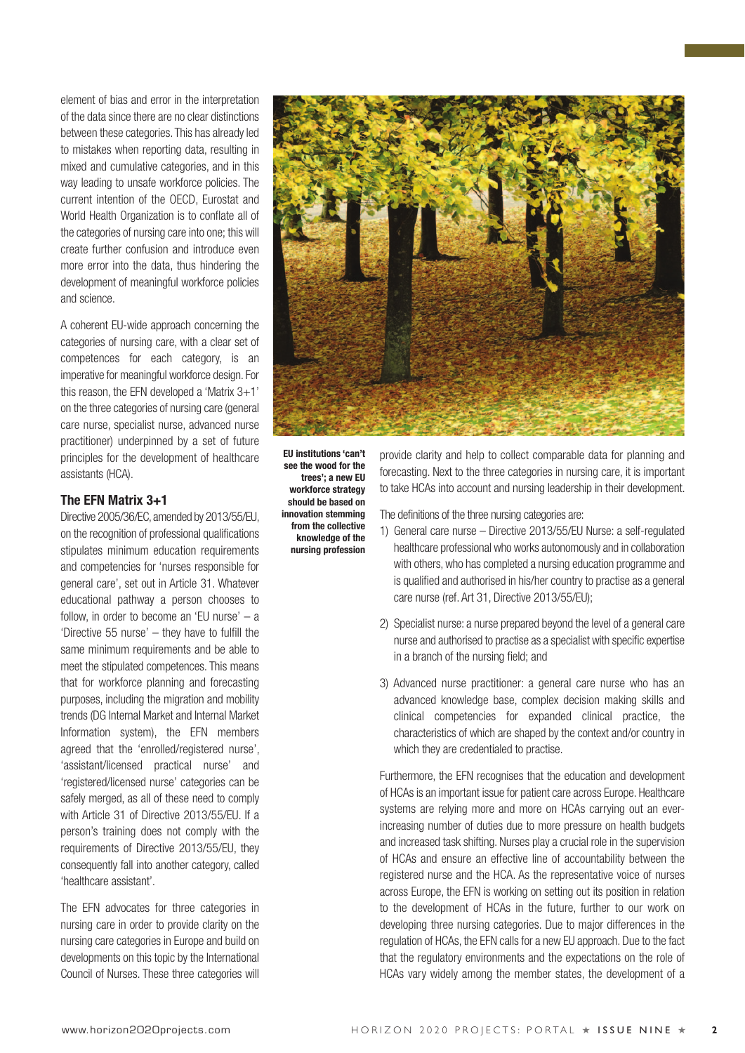element of bias and error in the interpretation of the data since there are no clear distinctions between these categories. This has already led to mistakes when reporting data, resulting in mixed and cumulative categories, and in this way leading to unsafe workforce policies. The current intention of the OECD, Eurostat and World Health Organization is to conflate all of the categories of nursing care into one; this will create further confusion and introduce even more error into the data, thus hindering the development of meaningful workforce policies and science.

A coherent EU-wide approach concerning the categories of nursing care, with a clear set of competences for each category, is an imperative for meaningful workforce design. For this reason, the EFN developed a 'Matrix 3+1' on the three categories of nursing care (general care nurse, specialist nurse, advanced nurse practitioner) underpinned by a set of future principles for the development of healthcare assistants (HCA).

### **The EFN Matrix 3+1**

Directive 2005/36/EC, amended by 2013/55/EU, on the recognition of professional qualifications stipulates minimum education requirements and competencies for 'nurses responsible for general care', set out in Article 31. Whatever educational pathway a person chooses to follow, in order to become an 'EU nurse'  $-$  a 'Directive 55 nurse' – they have to fulfill the same minimum requirements and be able to meet the stipulated competences. This means that for workforce planning and forecasting purposes, including the migration and mobility trends (DG Internal Market and Internal Market Information system), the EFN members agreed that the 'enrolled/registered nurse', 'assistant/licensed practical nurse' and 'registered/licensed nurse' categories can be safely merged, as all of these need to comply with Article 31 of Directive 2013/55/EU. If a person's training does not comply with the requirements of Directive 2013/55/EU, they consequently fall into another category, called 'healthcare assistant'.

The EFN advocates for three categories in nursing care in order to provide clarity on the nursing care categories in Europe and build on developments on this topic by the International Council of Nurses. These three categories will



**EU institutions 'can't see the wood for the trees'; a new EU workforce strategy should be based on innovation stemming from the collective knowledge of the nursing profession**

provide clarity and help to collect comparable data for planning and forecasting. Next to the three categories in nursing care, it is important to take HCAs into account and nursing leadership in their development.

The definitions of the three nursing categories are:

- 1) General care nurse Directive 2013/55/EU Nurse: a self-regulated healthcare professional who works autonomously and in collaboration with others, who has completed a nursing education programme and is qualified and authorised in his/her country to practise as a general care nurse (ref. Art 31, Directive 2013/55/EU);
- 2) Specialist nurse: a nurse prepared beyond the level of a general care nurse and authorised to practise as a specialist with specific expertise in a branch of the nursing field; and
- 3) Advanced nurse practitioner: a general care nurse who has an advanced knowledge base, complex decision making skills and clinical competencies for expanded clinical practice, the characteristics of which are shaped by the context and/or country in which they are credentialed to practise.

Furthermore, the EFN recognises that the education and development of HCAs is an important issue for patient care across Europe. Healthcare systems are relying more and more on HCAs carrying out an everincreasing number of duties due to more pressure on health budgets and increased task shifting. Nurses play a crucial role in the supervision of HCAs and ensure an effective line of accountability between the registered nurse and the HCA. As the representative voice of nurses across Europe, the EFN is working on setting out its position in relation to the development of HCAs in the future, further to our work on developing three nursing categories. Due to major differences in the regulation of HCAs, the EFN calls for a new EU approach. Due to the fact that the regulatory environments and the expectations on the role of HCAs vary widely among the member states, the development of a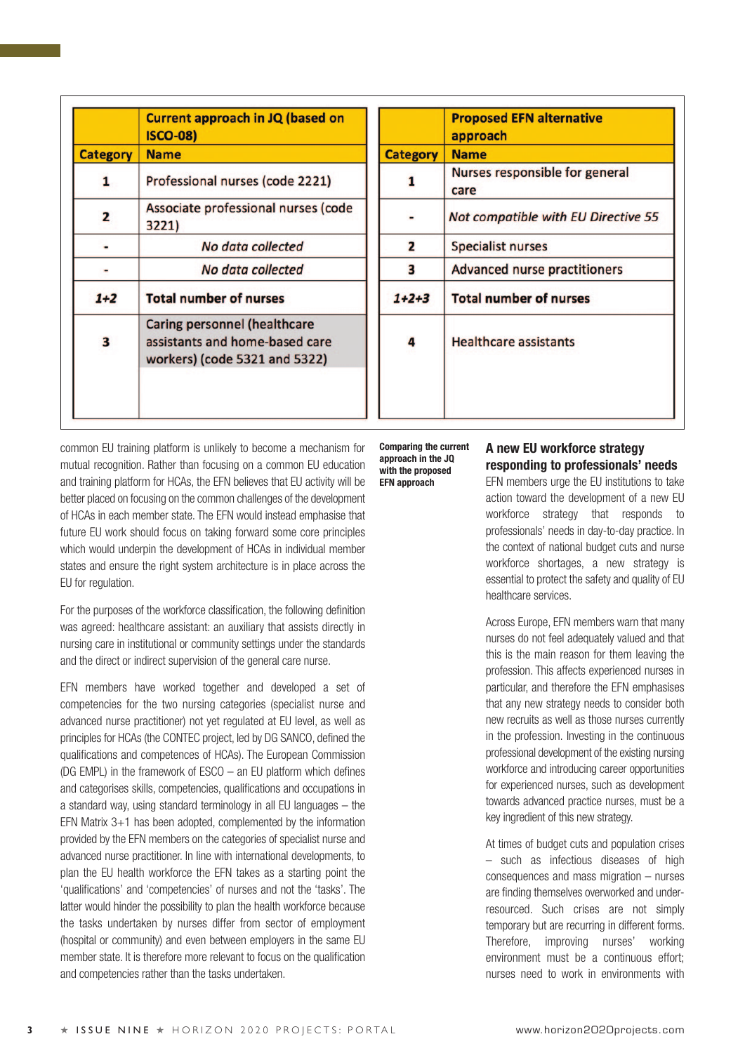| <b>Current approach in JQ (based on</b><br><b>ISCO-08)</b>                                      |
|-------------------------------------------------------------------------------------------------|
| <b>Name</b>                                                                                     |
| Professional nurses (code 2221)                                                                 |
| Associate professional nurses (code<br>3221)                                                    |
| No data collected                                                                               |
| No data collected                                                                               |
| <b>Total number of nurses</b>                                                                   |
| Caring personnel (healthcare<br>assistants and home-based care<br>workers) (code 5321 and 5322) |
|                                                                                                 |

|                 | <b>Proposed EFN alternative</b><br>approach |
|-----------------|---------------------------------------------|
| <b>Category</b> | <b>Name</b>                                 |
|                 | Nurses responsible for general<br>care      |
|                 | Not compatible with EU Directive 55         |
| 2               | <b>Specialist nurses</b>                    |
| з               | <b>Advanced nurse practitioners</b>         |
| $1+2+3$         | <b>Total number of nurses</b>               |
| 4               | <b>Healthcare assistants</b>                |
|                 |                                             |

common EU training platform is unlikely to become a mechanism for mutual recognition. Rather than focusing on a common EU education and training platform for HCAs, the EFN believes that EU activity will be better placed on focusing on the common challenges of the development of HCAs in each member state. The EFN would instead emphasise that future EU work should focus on taking forward some core principles which would underpin the development of HCAs in individual member states and ensure the right system architecture is in place across the EU for regulation.

For the purposes of the workforce classification, the following definition was agreed: healthcare assistant: an auxiliary that assists directly in nursing care in institutional or community settings under the standards and the direct or indirect supervision of the general care nurse.

EFN members have worked together and developed a set of competencies for the two nursing categories (specialist nurse and advanced nurse practitioner) not yet regulated at EU level, as well as principles for HCAs (the CONTEC project, led by DG SANCO, defined the qualifications and competences of HCAs). The European Commission (DG EMPL) in the framework of ESCO – an EU platform which defines and categorises skills, competencies, qualifications and occupations in a standard way, using standard terminology in all EU languages – the EFN Matrix 3+1 has been adopted, complemented by the information provided by the EFN members on the categories of specialist nurse and advanced nurse practitioner. In line with international developments, to plan the EU health workforce the EFN takes as a starting point the 'qualifications' and 'competencies' of nurses and not the 'tasks'. The latter would hinder the possibility to plan the health workforce because the tasks undertaken by nurses differ from sector of employment (hospital or community) and even between employers in the same EU member state. It is therefore more relevant to focus on the qualification and competencies rather than the tasks undertaken.

**Comparing the current approach in the JQ with the proposed EFN approach**

# **A new EU workforce strategy responding to professionals' needs**

EFN members urge the EU institutions to take action toward the development of a new EU workforce strategy that responds to professionals' needs in day-to-day practice. In the context of national budget cuts and nurse workforce shortages, a new strategy is essential to protect the safety and quality of EU healthcare services.

Across Europe, EFN members warn that many nurses do not feel adequately valued and that this is the main reason for them leaving the profession. This affects experienced nurses in particular, and therefore the EFN emphasises that any new strategy needs to consider both new recruits as well as those nurses currently in the profession. Investing in the continuous professional development of the existing nursing workforce and introducing career opportunities for experienced nurses, such as development towards advanced practice nurses, must be a key ingredient of this new strategy.

At times of budget cuts and population crises – such as infectious diseases of high consequences and mass migration – nurses are finding themselves overworked and underresourced. Such crises are not simply temporary but are recurring in different forms. Therefore, improving nurses' working environment must be a continuous effort; nurses need to work in environments with